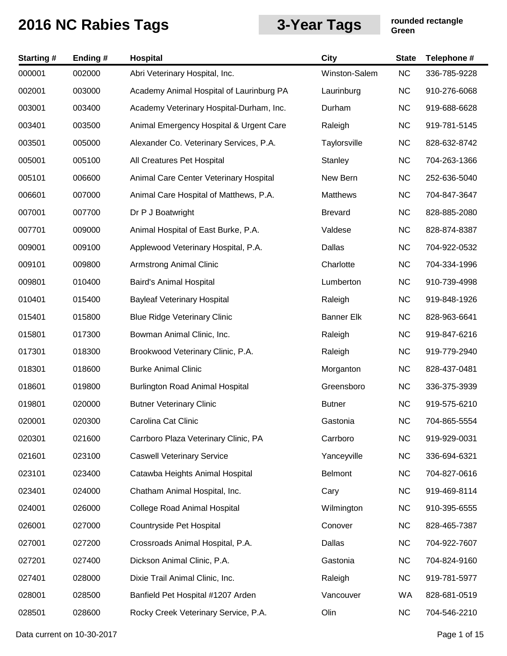| <b>Starting#</b> | Ending # | <b>Hospital</b>                          | <b>City</b>       | <b>State</b> | Telephone #  |
|------------------|----------|------------------------------------------|-------------------|--------------|--------------|
| 000001           | 002000   | Abri Veterinary Hospital, Inc.           | Winston-Salem     | <b>NC</b>    | 336-785-9228 |
| 002001           | 003000   | Academy Animal Hospital of Laurinburg PA | Laurinburg        | <b>NC</b>    | 910-276-6068 |
| 003001           | 003400   | Academy Veterinary Hospital-Durham, Inc. | Durham            | <b>NC</b>    | 919-688-6628 |
| 003401           | 003500   | Animal Emergency Hospital & Urgent Care  | Raleigh           | <b>NC</b>    | 919-781-5145 |
| 003501           | 005000   | Alexander Co. Veterinary Services, P.A.  | Taylorsville      | <b>NC</b>    | 828-632-8742 |
| 005001           | 005100   | All Creatures Pet Hospital               | Stanley           | <b>NC</b>    | 704-263-1366 |
| 005101           | 006600   | Animal Care Center Veterinary Hospital   | New Bern          | <b>NC</b>    | 252-636-5040 |
| 006601           | 007000   | Animal Care Hospital of Matthews, P.A.   | Matthews          | <b>NC</b>    | 704-847-3647 |
| 007001           | 007700   | Dr P J Boatwright                        | <b>Brevard</b>    | <b>NC</b>    | 828-885-2080 |
| 007701           | 009000   | Animal Hospital of East Burke, P.A.      | Valdese           | <b>NC</b>    | 828-874-8387 |
| 009001           | 009100   | Applewood Veterinary Hospital, P.A.      | Dallas            | <b>NC</b>    | 704-922-0532 |
| 009101           | 009800   | <b>Armstrong Animal Clinic</b>           | Charlotte         | <b>NC</b>    | 704-334-1996 |
| 009801           | 010400   | Baird's Animal Hospital                  | Lumberton         | <b>NC</b>    | 910-739-4998 |
| 010401           | 015400   | <b>Bayleaf Veterinary Hospital</b>       | Raleigh           | <b>NC</b>    | 919-848-1926 |
| 015401           | 015800   | <b>Blue Ridge Veterinary Clinic</b>      | <b>Banner Elk</b> | <b>NC</b>    | 828-963-6641 |
| 015801           | 017300   | Bowman Animal Clinic, Inc.               | Raleigh           | <b>NC</b>    | 919-847-6216 |
| 017301           | 018300   | Brookwood Veterinary Clinic, P.A.        | Raleigh           | <b>NC</b>    | 919-779-2940 |
| 018301           | 018600   | <b>Burke Animal Clinic</b>               | Morganton         | <b>NC</b>    | 828-437-0481 |
| 018601           | 019800   | <b>Burlington Road Animal Hospital</b>   | Greensboro        | <b>NC</b>    | 336-375-3939 |
| 019801           | 020000   | <b>Butner Veterinary Clinic</b>          | <b>Butner</b>     | <b>NC</b>    | 919-575-6210 |
| 020001           | 020300   | Carolina Cat Clinic                      | Gastonia          | <b>NC</b>    | 704-865-5554 |
| 020301           | 021600   | Carrboro Plaza Veterinary Clinic, PA     | Carrboro          | <b>NC</b>    | 919-929-0031 |
| 021601           | 023100   | <b>Caswell Veterinary Service</b>        | Yanceyville       | <b>NC</b>    | 336-694-6321 |
| 023101           | 023400   | Catawba Heights Animal Hospital          | <b>Belmont</b>    | <b>NC</b>    | 704-827-0616 |
| 023401           | 024000   | Chatham Animal Hospital, Inc.            | Cary              | <b>NC</b>    | 919-469-8114 |
| 024001           | 026000   | <b>College Road Animal Hospital</b>      | Wilmington        | <b>NC</b>    | 910-395-6555 |
| 026001           | 027000   | Countryside Pet Hospital                 | Conover           | <b>NC</b>    | 828-465-7387 |
| 027001           | 027200   | Crossroads Animal Hospital, P.A.         | Dallas            | <b>NC</b>    | 704-922-7607 |
| 027201           | 027400   | Dickson Animal Clinic, P.A.              | Gastonia          | <b>NC</b>    | 704-824-9160 |
| 027401           | 028000   | Dixie Trail Animal Clinic, Inc.          | Raleigh           | <b>NC</b>    | 919-781-5977 |
| 028001           | 028500   | Banfield Pet Hospital #1207 Arden        | Vancouver         | WA           | 828-681-0519 |
| 028501           | 028600   | Rocky Creek Veterinary Service, P.A.     | Olin              | <b>NC</b>    | 704-546-2210 |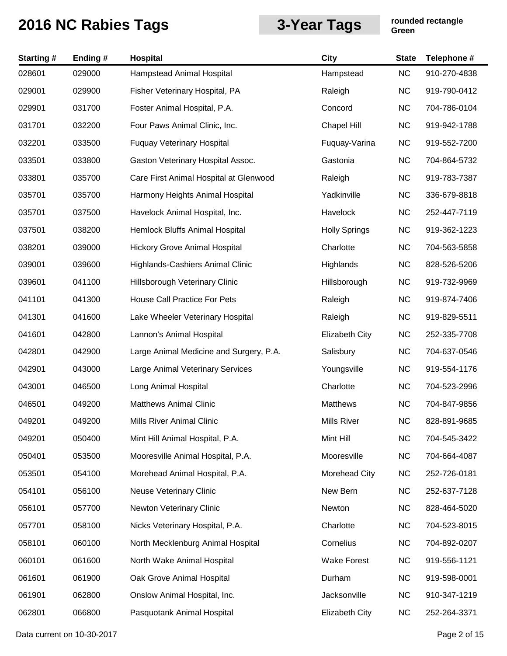| <b>Starting#</b> | Ending # | Hospital                                | <b>City</b>           | <b>State</b> | Telephone #  |
|------------------|----------|-----------------------------------------|-----------------------|--------------|--------------|
| 028601           | 029000   | Hampstead Animal Hospital               | Hampstead             | <b>NC</b>    | 910-270-4838 |
| 029001           | 029900   | Fisher Veterinary Hospital, PA          | Raleigh               | <b>NC</b>    | 919-790-0412 |
| 029901           | 031700   | Foster Animal Hospital, P.A.            | Concord               | <b>NC</b>    | 704-786-0104 |
| 031701           | 032200   | Four Paws Animal Clinic, Inc.           | Chapel Hill           | <b>NC</b>    | 919-942-1788 |
| 032201           | 033500   | <b>Fuquay Veterinary Hospital</b>       | Fuquay-Varina         | <b>NC</b>    | 919-552-7200 |
| 033501           | 033800   | Gaston Veterinary Hospital Assoc.       | Gastonia              | <b>NC</b>    | 704-864-5732 |
| 033801           | 035700   | Care First Animal Hospital at Glenwood  | Raleigh               | <b>NC</b>    | 919-783-7387 |
| 035701           | 035700   | Harmony Heights Animal Hospital         | Yadkinville           | <b>NC</b>    | 336-679-8818 |
| 035701           | 037500   | Havelock Animal Hospital, Inc.          | Havelock              | <b>NC</b>    | 252-447-7119 |
| 037501           | 038200   | Hemlock Bluffs Animal Hospital          | <b>Holly Springs</b>  | <b>NC</b>    | 919-362-1223 |
| 038201           | 039000   | <b>Hickory Grove Animal Hospital</b>    | Charlotte             | <b>NC</b>    | 704-563-5858 |
| 039001           | 039600   | Highlands-Cashiers Animal Clinic        | Highlands             | <b>NC</b>    | 828-526-5206 |
| 039601           | 041100   | Hillsborough Veterinary Clinic          | Hillsborough          | <b>NC</b>    | 919-732-9969 |
| 041101           | 041300   | House Call Practice For Pets            | Raleigh               | <b>NC</b>    | 919-874-7406 |
| 041301           | 041600   | Lake Wheeler Veterinary Hospital        | Raleigh               | <b>NC</b>    | 919-829-5511 |
| 041601           | 042800   | Lannon's Animal Hospital                | <b>Elizabeth City</b> | <b>NC</b>    | 252-335-7708 |
| 042801           | 042900   | Large Animal Medicine and Surgery, P.A. | Salisbury             | <b>NC</b>    | 704-637-0546 |
| 042901           | 043000   | Large Animal Veterinary Services        | Youngsville           | <b>NC</b>    | 919-554-1176 |
| 043001           | 046500   | Long Animal Hospital                    | Charlotte             | <b>NC</b>    | 704-523-2996 |
| 046501           | 049200   | <b>Matthews Animal Clinic</b>           | <b>Matthews</b>       | <b>NC</b>    | 704-847-9856 |
| 049201           | 049200   | Mills River Animal Clinic               | Mills River           | <b>NC</b>    | 828-891-9685 |
| 049201           | 050400   | Mint Hill Animal Hospital, P.A.         | Mint Hill             | <b>NC</b>    | 704-545-3422 |
| 050401           | 053500   | Mooresville Animal Hospital, P.A.       | Mooresville           | <b>NC</b>    | 704-664-4087 |
| 053501           | 054100   | Morehead Animal Hospital, P.A.          | Morehead City         | <b>NC</b>    | 252-726-0181 |
| 054101           | 056100   | <b>Neuse Veterinary Clinic</b>          | New Bern              | <b>NC</b>    | 252-637-7128 |
| 056101           | 057700   | Newton Veterinary Clinic                | Newton                | <b>NC</b>    | 828-464-5020 |
| 057701           | 058100   | Nicks Veterinary Hospital, P.A.         | Charlotte             | <b>NC</b>    | 704-523-8015 |
| 058101           | 060100   | North Mecklenburg Animal Hospital       | Cornelius             | <b>NC</b>    | 704-892-0207 |
| 060101           | 061600   | North Wake Animal Hospital              | <b>Wake Forest</b>    | <b>NC</b>    | 919-556-1121 |
| 061601           | 061900   | Oak Grove Animal Hospital               | Durham                | <b>NC</b>    | 919-598-0001 |
| 061901           | 062800   | Onslow Animal Hospital, Inc.            | Jacksonville          | <b>NC</b>    | 910-347-1219 |
| 062801           | 066800   | Pasquotank Animal Hospital              | Elizabeth City        | <b>NC</b>    | 252-264-3371 |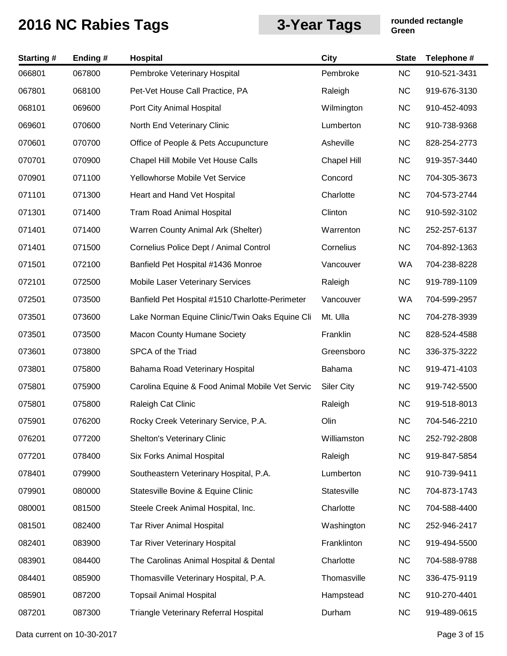| <b>Starting#</b> | Ending# | <b>Hospital</b>                                 | <b>City</b>        | <b>State</b> | Telephone #  |
|------------------|---------|-------------------------------------------------|--------------------|--------------|--------------|
| 066801           | 067800  | Pembroke Veterinary Hospital                    | Pembroke           | <b>NC</b>    | 910-521-3431 |
| 067801           | 068100  | Pet-Vet House Call Practice, PA                 | Raleigh            | <b>NC</b>    | 919-676-3130 |
| 068101           | 069600  | Port City Animal Hospital                       | Wilmington         | <b>NC</b>    | 910-452-4093 |
| 069601           | 070600  | North End Veterinary Clinic                     | Lumberton          | <b>NC</b>    | 910-738-9368 |
| 070601           | 070700  | Office of People & Pets Accupuncture            | Asheville          | <b>NC</b>    | 828-254-2773 |
| 070701           | 070900  | Chapel Hill Mobile Vet House Calls              | <b>Chapel Hill</b> | <b>NC</b>    | 919-357-3440 |
| 070901           | 071100  | Yellowhorse Mobile Vet Service                  | Concord            | <b>NC</b>    | 704-305-3673 |
| 071101           | 071300  | Heart and Hand Vet Hospital                     | Charlotte          | <b>NC</b>    | 704-573-2744 |
| 071301           | 071400  | <b>Tram Road Animal Hospital</b>                | Clinton            | <b>NC</b>    | 910-592-3102 |
| 071401           | 071400  | Warren County Animal Ark (Shelter)              | Warrenton          | <b>NC</b>    | 252-257-6137 |
| 071401           | 071500  | Cornelius Police Dept / Animal Control          | Cornelius          | <b>NC</b>    | 704-892-1363 |
| 071501           | 072100  | Banfield Pet Hospital #1436 Monroe              | Vancouver          | WA           | 704-238-8228 |
| 072101           | 072500  | Mobile Laser Veterinary Services                | Raleigh            | <b>NC</b>    | 919-789-1109 |
| 072501           | 073500  | Banfield Pet Hospital #1510 Charlotte-Perimeter | Vancouver          | WA           | 704-599-2957 |
| 073501           | 073600  | Lake Norman Equine Clinic/Twin Oaks Equine Cli  | Mt. Ulla           | <b>NC</b>    | 704-278-3939 |
| 073501           | 073500  | <b>Macon County Humane Society</b>              | Franklin           | <b>NC</b>    | 828-524-4588 |
| 073601           | 073800  | SPCA of the Triad                               | Greensboro         | <b>NC</b>    | 336-375-3222 |
| 073801           | 075800  | Bahama Road Veterinary Hospital                 | Bahama             | <b>NC</b>    | 919-471-4103 |
| 075801           | 075900  | Carolina Equine & Food Animal Mobile Vet Servic | <b>Siler City</b>  | <b>NC</b>    | 919-742-5500 |
| 075801           | 075800  | Raleigh Cat Clinic                              | Raleigh            | <b>NC</b>    | 919-518-8013 |
| 075901           | 076200  | Rocky Creek Veterinary Service, P.A.            | Olin               | <b>NC</b>    | 704-546-2210 |
| 076201           | 077200  | Shelton's Veterinary Clinic                     | Williamston        | <b>NC</b>    | 252-792-2808 |
| 077201           | 078400  | Six Forks Animal Hospital                       | Raleigh            | <b>NC</b>    | 919-847-5854 |
| 078401           | 079900  | Southeastern Veterinary Hospital, P.A.          | Lumberton          | <b>NC</b>    | 910-739-9411 |
| 079901           | 080000  | Statesville Bovine & Equine Clinic              | Statesville        | <b>NC</b>    | 704-873-1743 |
| 080001           | 081500  | Steele Creek Animal Hospital, Inc.              | Charlotte          | <b>NC</b>    | 704-588-4400 |
| 081501           | 082400  | <b>Tar River Animal Hospital</b>                | Washington         | <b>NC</b>    | 252-946-2417 |
| 082401           | 083900  | Tar River Veterinary Hospital                   | Franklinton        | <b>NC</b>    | 919-494-5500 |
| 083901           | 084400  | The Carolinas Animal Hospital & Dental          | Charlotte          | <b>NC</b>    | 704-588-9788 |
| 084401           | 085900  | Thomasville Veterinary Hospital, P.A.           | Thomasville        | <b>NC</b>    | 336-475-9119 |
| 085901           | 087200  | <b>Topsail Animal Hospital</b>                  | Hampstead          | <b>NC</b>    | 910-270-4401 |
| 087201           | 087300  | Triangle Veterinary Referral Hospital           | Durham             | <b>NC</b>    | 919-489-0615 |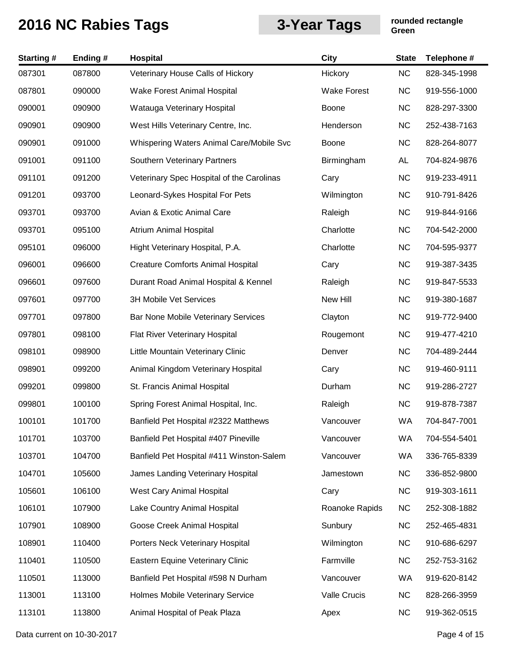| <b>Starting#</b> | Ending # | <b>Hospital</b>                           | <b>City</b>        | <b>State</b> | Telephone #  |
|------------------|----------|-------------------------------------------|--------------------|--------------|--------------|
| 087301           | 087800   | Veterinary House Calls of Hickory         | Hickory            | <b>NC</b>    | 828-345-1998 |
| 087801           | 090000   | Wake Forest Animal Hospital               | <b>Wake Forest</b> | <b>NC</b>    | 919-556-1000 |
| 090001           | 090900   | Watauga Veterinary Hospital               | Boone              | <b>NC</b>    | 828-297-3300 |
| 090901           | 090900   | West Hills Veterinary Centre, Inc.        | Henderson          | <b>NC</b>    | 252-438-7163 |
| 090901           | 091000   | Whispering Waters Animal Care/Mobile Svc  | <b>Boone</b>       | <b>NC</b>    | 828-264-8077 |
| 091001           | 091100   | Southern Veterinary Partners              | Birmingham         | AL           | 704-824-9876 |
| 091101           | 091200   | Veterinary Spec Hospital of the Carolinas | Cary               | <b>NC</b>    | 919-233-4911 |
| 091201           | 093700   | Leonard-Sykes Hospital For Pets           | Wilmington         | <b>NC</b>    | 910-791-8426 |
| 093701           | 093700   | Avian & Exotic Animal Care                | Raleigh            | <b>NC</b>    | 919-844-9166 |
| 093701           | 095100   | Atrium Animal Hospital                    | Charlotte          | <b>NC</b>    | 704-542-2000 |
| 095101           | 096000   | Hight Veterinary Hospital, P.A.           | Charlotte          | <b>NC</b>    | 704-595-9377 |
| 096001           | 096600   | <b>Creature Comforts Animal Hospital</b>  | Cary               | <b>NC</b>    | 919-387-3435 |
| 096601           | 097600   | Durant Road Animal Hospital & Kennel      | Raleigh            | <b>NC</b>    | 919-847-5533 |
| 097601           | 097700   | 3H Mobile Vet Services                    | New Hill           | <b>NC</b>    | 919-380-1687 |
| 097701           | 097800   | Bar None Mobile Veterinary Services       | Clayton            | <b>NC</b>    | 919-772-9400 |
| 097801           | 098100   | Flat River Veterinary Hospital            | Rougemont          | <b>NC</b>    | 919-477-4210 |
| 098101           | 098900   | Little Mountain Veterinary Clinic         | Denver             | <b>NC</b>    | 704-489-2444 |
| 098901           | 099200   | Animal Kingdom Veterinary Hospital        | Cary               | <b>NC</b>    | 919-460-9111 |
| 099201           | 099800   | St. Francis Animal Hospital               | Durham             | <b>NC</b>    | 919-286-2727 |
| 099801           | 100100   | Spring Forest Animal Hospital, Inc.       | Raleigh            | <b>NC</b>    | 919-878-7387 |
| 100101           | 101700   | Banfield Pet Hospital #2322 Matthews      | Vancouver          | <b>WA</b>    | 704-847-7001 |
| 101701           | 103700   | Banfield Pet Hospital #407 Pineville      | Vancouver          | WA           | 704-554-5401 |
| 103701           | 104700   | Banfield Pet Hospital #411 Winston-Salem  | Vancouver          | WA           | 336-765-8339 |
| 104701           | 105600   | James Landing Veterinary Hospital         | Jamestown          | <b>NC</b>    | 336-852-9800 |
| 105601           | 106100   | West Cary Animal Hospital                 | Cary               | <b>NC</b>    | 919-303-1611 |
| 106101           | 107900   | Lake Country Animal Hospital              | Roanoke Rapids     | <b>NC</b>    | 252-308-1882 |
| 107901           | 108900   | Goose Creek Animal Hospital               | Sunbury            | <b>NC</b>    | 252-465-4831 |
| 108901           | 110400   | Porters Neck Veterinary Hospital          | Wilmington         | <b>NC</b>    | 910-686-6297 |
| 110401           | 110500   | Eastern Equine Veterinary Clinic          | Farmville          | <b>NC</b>    | 252-753-3162 |
| 110501           | 113000   | Banfield Pet Hospital #598 N Durham       | Vancouver          | <b>WA</b>    | 919-620-8142 |
| 113001           | 113100   | Holmes Mobile Veterinary Service          | Valle Crucis       | <b>NC</b>    | 828-266-3959 |
| 113101           | 113800   | Animal Hospital of Peak Plaza             | Apex               | <b>NC</b>    | 919-362-0515 |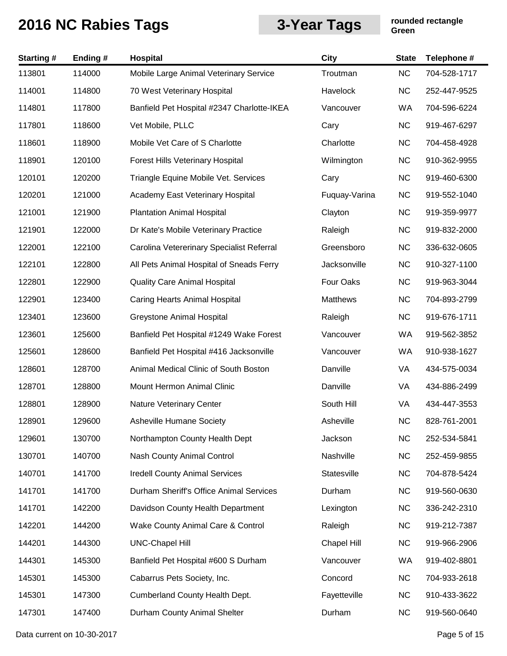| <b>Starting#</b> | Ending# | Hospital                                   | City          | <b>State</b> | Telephone #  |
|------------------|---------|--------------------------------------------|---------------|--------------|--------------|
| 113801           | 114000  | Mobile Large Animal Veterinary Service     | Troutman      | <b>NC</b>    | 704-528-1717 |
| 114001           | 114800  | 70 West Veterinary Hospital                | Havelock      | <b>NC</b>    | 252-447-9525 |
| 114801           | 117800  | Banfield Pet Hospital #2347 Charlotte-IKEA | Vancouver     | WA           | 704-596-6224 |
| 117801           | 118600  | Vet Mobile, PLLC                           | Cary          | <b>NC</b>    | 919-467-6297 |
| 118601           | 118900  | Mobile Vet Care of S Charlotte             | Charlotte     | <b>NC</b>    | 704-458-4928 |
| 118901           | 120100  | Forest Hills Veterinary Hospital           | Wilmington    | <b>NC</b>    | 910-362-9955 |
| 120101           | 120200  | Triangle Equine Mobile Vet. Services       | Cary          | <b>NC</b>    | 919-460-6300 |
| 120201           | 121000  | Academy East Veterinary Hospital           | Fuquay-Varina | <b>NC</b>    | 919-552-1040 |
| 121001           | 121900  | <b>Plantation Animal Hospital</b>          | Clayton       | <b>NC</b>    | 919-359-9977 |
| 121901           | 122000  | Dr Kate's Mobile Veterinary Practice       | Raleigh       | <b>NC</b>    | 919-832-2000 |
| 122001           | 122100  | Carolina Vetererinary Specialist Referral  | Greensboro    | <b>NC</b>    | 336-632-0605 |
| 122101           | 122800  | All Pets Animal Hospital of Sneads Ferry   | Jacksonville  | <b>NC</b>    | 910-327-1100 |
| 122801           | 122900  | <b>Quality Care Animal Hospital</b>        | Four Oaks     | <b>NC</b>    | 919-963-3044 |
| 122901           | 123400  | <b>Caring Hearts Animal Hospital</b>       | Matthews      | <b>NC</b>    | 704-893-2799 |
| 123401           | 123600  | Greystone Animal Hospital                  | Raleigh       | <b>NC</b>    | 919-676-1711 |
| 123601           | 125600  | Banfield Pet Hospital #1249 Wake Forest    | Vancouver     | WA           | 919-562-3852 |
| 125601           | 128600  | Banfield Pet Hospital #416 Jacksonville    | Vancouver     | WA           | 910-938-1627 |
| 128601           | 128700  | Animal Medical Clinic of South Boston      | Danville      | VA           | 434-575-0034 |
| 128701           | 128800  | Mount Hermon Animal Clinic                 | Danville      | VA           | 434-886-2499 |
| 128801           | 128900  | Nature Veterinary Center                   | South Hill    | VA           | 434-447-3553 |
| 128901           | 129600  | <b>Asheville Humane Society</b>            | Asheville     | <b>NC</b>    | 828-761-2001 |
| 129601           | 130700  | Northampton County Health Dept             | Jackson       | <b>NC</b>    | 252-534-5841 |
| 130701           | 140700  | Nash County Animal Control                 | Nashville     | <b>NC</b>    | 252-459-9855 |
| 140701           | 141700  | <b>Iredell County Animal Services</b>      | Statesville   | <b>NC</b>    | 704-878-5424 |
| 141701           | 141700  | Durham Sheriff's Office Animal Services    | Durham        | <b>NC</b>    | 919-560-0630 |
| 141701           | 142200  | Davidson County Health Department          | Lexington     | <b>NC</b>    | 336-242-2310 |
| 142201           | 144200  | Wake County Animal Care & Control          | Raleigh       | <b>NC</b>    | 919-212-7387 |
| 144201           | 144300  | <b>UNC-Chapel Hill</b>                     | Chapel Hill   | <b>NC</b>    | 919-966-2906 |
| 144301           | 145300  | Banfield Pet Hospital #600 S Durham        | Vancouver     | WA           | 919-402-8801 |
| 145301           | 145300  | Cabarrus Pets Society, Inc.                | Concord       | <b>NC</b>    | 704-933-2618 |
| 145301           | 147300  | Cumberland County Health Dept.             | Fayetteville  | <b>NC</b>    | 910-433-3622 |
| 147301           | 147400  | Durham County Animal Shelter               | Durham        | <b>NC</b>    | 919-560-0640 |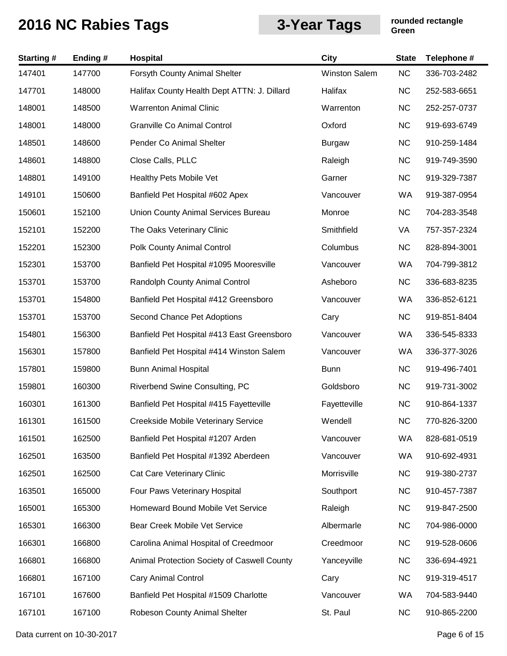| <b>Starting#</b> | Ending # | <b>Hospital</b>                             | City          | <b>State</b> | Telephone #  |
|------------------|----------|---------------------------------------------|---------------|--------------|--------------|
| 147401           | 147700   | Forsyth County Animal Shelter               | Winston Salem | NC           | 336-703-2482 |
| 147701           | 148000   | Halifax County Health Dept ATTN: J. Dillard | Halifax       | <b>NC</b>    | 252-583-6651 |
| 148001           | 148500   | <b>Warrenton Animal Clinic</b>              | Warrenton     | <b>NC</b>    | 252-257-0737 |
| 148001           | 148000   | <b>Granville Co Animal Control</b>          | Oxford        | <b>NC</b>    | 919-693-6749 |
| 148501           | 148600   | Pender Co Animal Shelter                    | <b>Burgaw</b> | <b>NC</b>    | 910-259-1484 |
| 148601           | 148800   | Close Calls, PLLC                           | Raleigh       | <b>NC</b>    | 919-749-3590 |
| 148801           | 149100   | Healthy Pets Mobile Vet                     | Garner        | <b>NC</b>    | 919-329-7387 |
| 149101           | 150600   | Banfield Pet Hospital #602 Apex             | Vancouver     | WA           | 919-387-0954 |
| 150601           | 152100   | Union County Animal Services Bureau         | Monroe        | <b>NC</b>    | 704-283-3548 |
| 152101           | 152200   | The Oaks Veterinary Clinic                  | Smithfield    | VA           | 757-357-2324 |
| 152201           | 152300   | Polk County Animal Control                  | Columbus      | <b>NC</b>    | 828-894-3001 |
| 152301           | 153700   | Banfield Pet Hospital #1095 Mooresville     | Vancouver     | WA           | 704-799-3812 |
| 153701           | 153700   | Randolph County Animal Control              | Asheboro      | <b>NC</b>    | 336-683-8235 |
| 153701           | 154800   | Banfield Pet Hospital #412 Greensboro       | Vancouver     | WA           | 336-852-6121 |
| 153701           | 153700   | Second Chance Pet Adoptions                 | Cary          | <b>NC</b>    | 919-851-8404 |
| 154801           | 156300   | Banfield Pet Hospital #413 East Greensboro  | Vancouver     | WA           | 336-545-8333 |
| 156301           | 157800   | Banfield Pet Hospital #414 Winston Salem    | Vancouver     | WA           | 336-377-3026 |
| 157801           | 159800   | <b>Bunn Animal Hospital</b>                 | <b>Bunn</b>   | <b>NC</b>    | 919-496-7401 |
| 159801           | 160300   | Riverbend Swine Consulting, PC              | Goldsboro     | <b>NC</b>    | 919-731-3002 |
| 160301           | 161300   | Banfield Pet Hospital #415 Fayetteville     | Fayetteville  | <b>NC</b>    | 910-864-1337 |
| 161301           | 161500   | Creekside Mobile Veterinary Service         | Wendell       | <b>NC</b>    | 770-826-3200 |
| 161501           | 162500   | Banfield Pet Hospital #1207 Arden           | Vancouver     | WA           | 828-681-0519 |
| 162501           | 163500   | Banfield Pet Hospital #1392 Aberdeen        | Vancouver     | WA           | 910-692-4931 |
| 162501           | 162500   | Cat Care Veterinary Clinic                  | Morrisville   | <b>NC</b>    | 919-380-2737 |
| 163501           | 165000   | Four Paws Veterinary Hospital               | Southport     | <b>NC</b>    | 910-457-7387 |
| 165001           | 165300   | Homeward Bound Mobile Vet Service           | Raleigh       | <b>NC</b>    | 919-847-2500 |
| 165301           | 166300   | Bear Creek Mobile Vet Service               | Albermarle    | <b>NC</b>    | 704-986-0000 |
| 166301           | 166800   | Carolina Animal Hospital of Creedmoor       | Creedmoor     | <b>NC</b>    | 919-528-0606 |
| 166801           | 166800   | Animal Protection Society of Caswell County | Yanceyville   | <b>NC</b>    | 336-694-4921 |
| 166801           | 167100   | <b>Cary Animal Control</b>                  | Cary          | <b>NC</b>    | 919-319-4517 |
| 167101           | 167600   | Banfield Pet Hospital #1509 Charlotte       | Vancouver     | WA           | 704-583-9440 |
| 167101           | 167100   | Robeson County Animal Shelter               | St. Paul      | <b>NC</b>    | 910-865-2200 |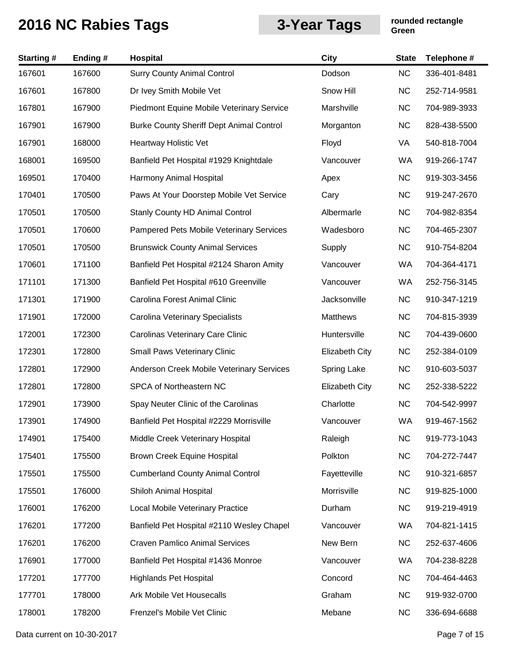| <b>Starting#</b> | Ending# | Hospital                                        | <b>City</b>           | <b>State</b> | Telephone #  |
|------------------|---------|-------------------------------------------------|-----------------------|--------------|--------------|
| 167601           | 167600  | <b>Surry County Animal Control</b>              | Dodson                | <b>NC</b>    | 336-401-8481 |
| 167601           | 167800  | Dr Ivey Smith Mobile Vet                        | Snow Hill             | <b>NC</b>    | 252-714-9581 |
| 167801           | 167900  | Piedmont Equine Mobile Veterinary Service       | Marshville            | <b>NC</b>    | 704-989-3933 |
| 167901           | 167900  | <b>Burke County Sheriff Dept Animal Control</b> | Morganton             | <b>NC</b>    | 828-438-5500 |
| 167901           | 168000  | Heartway Holistic Vet                           | Floyd                 | VA           | 540-818-7004 |
| 168001           | 169500  | Banfield Pet Hospital #1929 Knightdale          | Vancouver             | WA           | 919-266-1747 |
| 169501           | 170400  | Harmony Animal Hospital                         | Apex                  | <b>NC</b>    | 919-303-3456 |
| 170401           | 170500  | Paws At Your Doorstep Mobile Vet Service        | Cary                  | <b>NC</b>    | 919-247-2670 |
| 170501           | 170500  | <b>Stanly County HD Animal Control</b>          | Albermarle            | <b>NC</b>    | 704-982-8354 |
| 170501           | 170600  | Pampered Pets Mobile Veterinary Services        | Wadesboro             | <b>NC</b>    | 704-465-2307 |
| 170501           | 170500  | <b>Brunswick County Animal Services</b>         | Supply                | <b>NC</b>    | 910-754-8204 |
| 170601           | 171100  | Banfield Pet Hospital #2124 Sharon Amity        | Vancouver             | <b>WA</b>    | 704-364-4171 |
| 171101           | 171300  | Banfield Pet Hospital #610 Greenville           | Vancouver             | WA           | 252-756-3145 |
| 171301           | 171900  | Carolina Forest Animal Clinic                   | Jacksonville          | <b>NC</b>    | 910-347-1219 |
| 171901           | 172000  | Carolina Veterinary Specialists                 | Matthews              | <b>NC</b>    | 704-815-3939 |
| 172001           | 172300  | Carolinas Veterinary Care Clinic                | Huntersville          | <b>NC</b>    | 704-439-0600 |
| 172301           | 172800  | Small Paws Veterinary Clinic                    | <b>Elizabeth City</b> | <b>NC</b>    | 252-384-0109 |
| 172801           | 172900  | Anderson Creek Mobile Veterinary Services       | Spring Lake           | <b>NC</b>    | 910-603-5037 |
| 172801           | 172800  | SPCA of Northeastern NC                         | <b>Elizabeth City</b> | <b>NC</b>    | 252-338-5222 |
| 172901           | 173900  | Spay Neuter Clinic of the Carolinas             | Charlotte             | <b>NC</b>    | 704-542-9997 |
| 173901           | 174900  | Banfield Pet Hospital #2229 Morrisville         | Vancouver             | <b>WA</b>    | 919-467-1562 |
| 174901           | 175400  | Middle Creek Veterinary Hospital                | Raleigh               | <b>NC</b>    | 919-773-1043 |
| 175401           | 175500  | Brown Creek Equine Hospital                     | Polkton               | <b>NC</b>    | 704-272-7447 |
| 175501           | 175500  | <b>Cumberland County Animal Control</b>         | Fayetteville          | <b>NC</b>    | 910-321-6857 |
| 175501           | 176000  | Shiloh Animal Hospital                          | Morrisville           | <b>NC</b>    | 919-825-1000 |
| 176001           | 176200  | Local Mobile Veterinary Practice                | Durham                | <b>NC</b>    | 919-219-4919 |
| 176201           | 177200  | Banfield Pet Hospital #2110 Wesley Chapel       | Vancouver             | WA           | 704-821-1415 |
| 176201           | 176200  | <b>Craven Pamlico Animal Services</b>           | New Bern              | <b>NC</b>    | 252-637-4606 |
| 176901           | 177000  | Banfield Pet Hospital #1436 Monroe              | Vancouver             | WA           | 704-238-8228 |
| 177201           | 177700  | <b>Highlands Pet Hospital</b>                   | Concord               | <b>NC</b>    | 704-464-4463 |
| 177701           | 178000  | Ark Mobile Vet Housecalls                       | Graham                | <b>NC</b>    | 919-932-0700 |
| 178001           | 178200  | Frenzel's Mobile Vet Clinic                     | Mebane                | <b>NC</b>    | 336-694-6688 |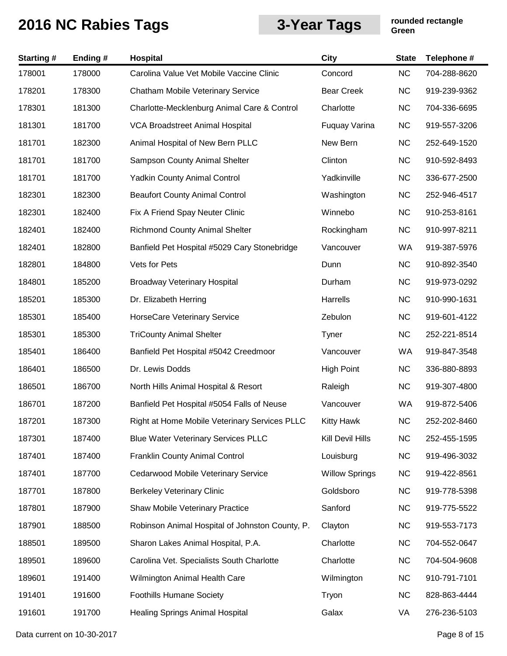| Starting# | Ending# | <b>Hospital</b>                                 | <b>City</b>           | <b>State</b> | Telephone #  |
|-----------|---------|-------------------------------------------------|-----------------------|--------------|--------------|
| 178001    | 178000  | Carolina Value Vet Mobile Vaccine Clinic        | Concord               | <b>NC</b>    | 704-288-8620 |
| 178201    | 178300  | Chatham Mobile Veterinary Service               | <b>Bear Creek</b>     | <b>NC</b>    | 919-239-9362 |
| 178301    | 181300  | Charlotte-Mecklenburg Animal Care & Control     | Charlotte             | <b>NC</b>    | 704-336-6695 |
| 181301    | 181700  | VCA Broadstreet Animal Hospital                 | Fuquay Varina         | <b>NC</b>    | 919-557-3206 |
| 181701    | 182300  | Animal Hospital of New Bern PLLC                | New Bern              | <b>NC</b>    | 252-649-1520 |
| 181701    | 181700  | Sampson County Animal Shelter                   | Clinton               | <b>NC</b>    | 910-592-8493 |
| 181701    | 181700  | <b>Yadkin County Animal Control</b>             | Yadkinville           | <b>NC</b>    | 336-677-2500 |
| 182301    | 182300  | <b>Beaufort County Animal Control</b>           | Washington            | <b>NC</b>    | 252-946-4517 |
| 182301    | 182400  | Fix A Friend Spay Neuter Clinic                 | Winnebo               | <b>NC</b>    | 910-253-8161 |
| 182401    | 182400  | <b>Richmond County Animal Shelter</b>           | Rockingham            | <b>NC</b>    | 910-997-8211 |
| 182401    | 182800  | Banfield Pet Hospital #5029 Cary Stonebridge    | Vancouver             | WA           | 919-387-5976 |
| 182801    | 184800  | Vets for Pets                                   | Dunn                  | <b>NC</b>    | 910-892-3540 |
| 184801    | 185200  | <b>Broadway Veterinary Hospital</b>             | Durham                | <b>NC</b>    | 919-973-0292 |
| 185201    | 185300  | Dr. Elizabeth Herring                           | Harrells              | <b>NC</b>    | 910-990-1631 |
| 185301    | 185400  | HorseCare Veterinary Service                    | Zebulon               | <b>NC</b>    | 919-601-4122 |
| 185301    | 185300  | <b>TriCounty Animal Shelter</b>                 | Tyner                 | <b>NC</b>    | 252-221-8514 |
| 185401    | 186400  | Banfield Pet Hospital #5042 Creedmoor           | Vancouver             | WA           | 919-847-3548 |
| 186401    | 186500  | Dr. Lewis Dodds                                 | <b>High Point</b>     | <b>NC</b>    | 336-880-8893 |
| 186501    | 186700  | North Hills Animal Hospital & Resort            | Raleigh               | <b>NC</b>    | 919-307-4800 |
| 186701    | 187200  | Banfield Pet Hospital #5054 Falls of Neuse      | Vancouver             | WA           | 919-872-5406 |
| 187201    | 187300  | Right at Home Mobile Veterinary Services PLLC   | <b>Kitty Hawk</b>     | <b>NC</b>    | 252-202-8460 |
| 187301    | 187400  | <b>Blue Water Veterinary Services PLLC</b>      | Kill Devil Hills      | <b>NC</b>    | 252-455-1595 |
| 187401    | 187400  | <b>Franklin County Animal Control</b>           | Louisburg             | <b>NC</b>    | 919-496-3032 |
| 187401    | 187700  | Cedarwood Mobile Veterinary Service             | <b>Willow Springs</b> | <b>NC</b>    | 919-422-8561 |
| 187701    | 187800  | <b>Berkeley Veterinary Clinic</b>               | Goldsboro             | <b>NC</b>    | 919-778-5398 |
| 187801    | 187900  | Shaw Mobile Veterinary Practice                 | Sanford               | <b>NC</b>    | 919-775-5522 |
| 187901    | 188500  | Robinson Animal Hospital of Johnston County, P. | Clayton               | <b>NC</b>    | 919-553-7173 |
| 188501    | 189500  | Sharon Lakes Animal Hospital, P.A.              | Charlotte             | <b>NC</b>    | 704-552-0647 |
| 189501    | 189600  | Carolina Vet. Specialists South Charlotte       | Charlotte             | <b>NC</b>    | 704-504-9608 |
| 189601    | 191400  | Wilmington Animal Health Care                   | Wilmington            | <b>NC</b>    | 910-791-7101 |
| 191401    | 191600  | <b>Foothills Humane Society</b>                 | Tryon                 | <b>NC</b>    | 828-863-4444 |
| 191601    | 191700  | <b>Healing Springs Animal Hospital</b>          | Galax                 | VA           | 276-236-5103 |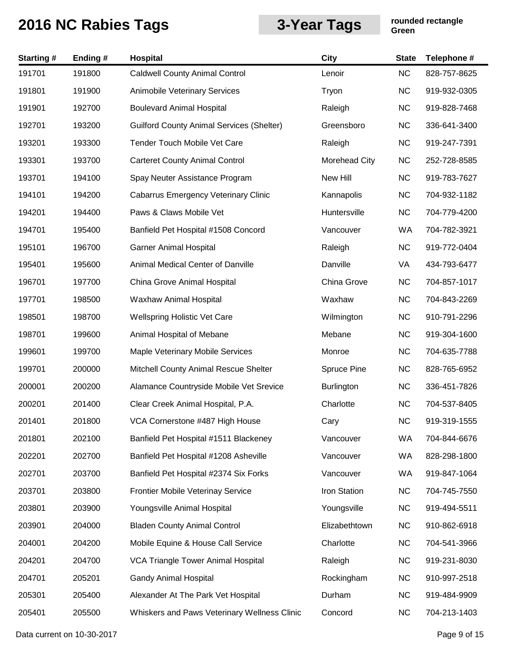| <b>Starting#</b> | Ending # | Hospital                                         | City               | <b>State</b> | Telephone #  |
|------------------|----------|--------------------------------------------------|--------------------|--------------|--------------|
| 191701           | 191800   | <b>Caldwell County Animal Control</b>            | Lenoir             | <b>NC</b>    | 828-757-8625 |
| 191801           | 191900   | <b>Animobile Veterinary Services</b>             | Tryon              | <b>NC</b>    | 919-932-0305 |
| 191901           | 192700   | <b>Boulevard Animal Hospital</b>                 | Raleigh            | <b>NC</b>    | 919-828-7468 |
| 192701           | 193200   | <b>Guilford County Animal Services (Shelter)</b> | Greensboro         | <b>NC</b>    | 336-641-3400 |
| 193201           | 193300   | Tender Touch Mobile Vet Care                     | Raleigh            | <b>NC</b>    | 919-247-7391 |
| 193301           | 193700   | <b>Carteret County Animal Control</b>            | Morehead City      | <b>NC</b>    | 252-728-8585 |
| 193701           | 194100   | Spay Neuter Assistance Program                   | New Hill           | <b>NC</b>    | 919-783-7627 |
| 194101           | 194200   | <b>Cabarrus Emergency Veterinary Clinic</b>      | Kannapolis         | <b>NC</b>    | 704-932-1182 |
| 194201           | 194400   | Paws & Claws Mobile Vet                          | Huntersville       | <b>NC</b>    | 704-779-4200 |
| 194701           | 195400   | Banfield Pet Hospital #1508 Concord              | Vancouver          | WA           | 704-782-3921 |
| 195101           | 196700   | <b>Garner Animal Hospital</b>                    | Raleigh            | <b>NC</b>    | 919-772-0404 |
| 195401           | 195600   | Animal Medical Center of Danville                | Danville           | VA           | 434-793-6477 |
| 196701           | 197700   | China Grove Animal Hospital                      | China Grove        | <b>NC</b>    | 704-857-1017 |
| 197701           | 198500   | Waxhaw Animal Hospital                           | Waxhaw             | <b>NC</b>    | 704-843-2269 |
| 198501           | 198700   | <b>Wellspring Holistic Vet Care</b>              | Wilmington         | <b>NC</b>    | 910-791-2296 |
| 198701           | 199600   | Animal Hospital of Mebane                        | Mebane             | <b>NC</b>    | 919-304-1600 |
| 199601           | 199700   | Maple Veterinary Mobile Services                 | Monroe             | <b>NC</b>    | 704-635-7788 |
| 199701           | 200000   | Mitchell County Animal Rescue Shelter            | <b>Spruce Pine</b> | <b>NC</b>    | 828-765-6952 |
| 200001           | 200200   | Alamance Countryside Mobile Vet Srevice          | <b>Burlington</b>  | <b>NC</b>    | 336-451-7826 |
| 200201           | 201400   | Clear Creek Animal Hospital, P.A.                | Charlotte          | <b>NC</b>    | 704-537-8405 |
| 201401           | 201800   | VCA Cornerstone #487 High House                  | Cary               | <b>NC</b>    | 919-319-1555 |
| 201801           | 202100   | Banfield Pet Hospital #1511 Blackeney            | Vancouver          | WA           | 704-844-6676 |
| 202201           | 202700   | Banfield Pet Hospital #1208 Asheville            | Vancouver          | WA           | 828-298-1800 |
| 202701           | 203700   | Banfield Pet Hospital #2374 Six Forks            | Vancouver          | WA           | 919-847-1064 |
| 203701           | 203800   | Frontier Mobile Veterinay Service                | Iron Station       | <b>NC</b>    | 704-745-7550 |
| 203801           | 203900   | Youngsville Animal Hospital                      | Youngsville        | <b>NC</b>    | 919-494-5511 |
| 203901           | 204000   | <b>Bladen County Animal Control</b>              | Elizabethtown      | <b>NC</b>    | 910-862-6918 |
| 204001           | 204200   | Mobile Equine & House Call Service               | Charlotte          | <b>NC</b>    | 704-541-3966 |
| 204201           | 204700   | VCA Triangle Tower Animal Hospital               | Raleigh            | <b>NC</b>    | 919-231-8030 |
| 204701           | 205201   | <b>Gandy Animal Hospital</b>                     | Rockingham         | <b>NC</b>    | 910-997-2518 |
| 205301           | 205400   | Alexander At The Park Vet Hospital               | Durham             | <b>NC</b>    | 919-484-9909 |
| 205401           | 205500   | Whiskers and Paws Veterinary Wellness Clinic     | Concord            | <b>NC</b>    | 704-213-1403 |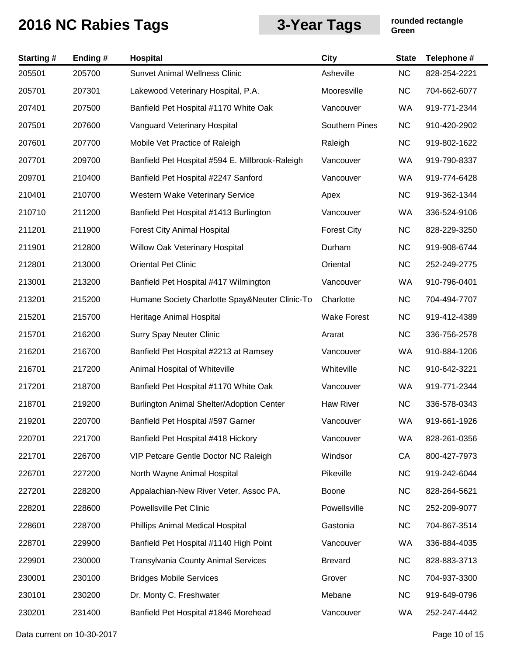| <b>Starting#</b> | Ending# | Hospital                                        | <b>City</b>           | <b>State</b> | Telephone #  |
|------------------|---------|-------------------------------------------------|-----------------------|--------------|--------------|
| 205501           | 205700  | <b>Sunvet Animal Wellness Clinic</b>            | Asheville             | <b>NC</b>    | 828-254-2221 |
| 205701           | 207301  | Lakewood Veterinary Hospital, P.A.              | Mooresville           | <b>NC</b>    | 704-662-6077 |
| 207401           | 207500  | Banfield Pet Hospital #1170 White Oak           | Vancouver             | WA           | 919-771-2344 |
| 207501           | 207600  | Vanguard Veterinary Hospital                    | <b>Southern Pines</b> | <b>NC</b>    | 910-420-2902 |
| 207601           | 207700  | Mobile Vet Practice of Raleigh                  | Raleigh               | <b>NC</b>    | 919-802-1622 |
| 207701           | 209700  | Banfield Pet Hospital #594 E. Millbrook-Raleigh | Vancouver             | WA           | 919-790-8337 |
| 209701           | 210400  | Banfield Pet Hospital #2247 Sanford             | Vancouver             | WA           | 919-774-6428 |
| 210401           | 210700  | Western Wake Veterinary Service                 | Apex                  | <b>NC</b>    | 919-362-1344 |
| 210710           | 211200  | Banfield Pet Hospital #1413 Burlington          | Vancouver             | WA           | 336-524-9106 |
| 211201           | 211900  | <b>Forest City Animal Hospital</b>              | <b>Forest City</b>    | <b>NC</b>    | 828-229-3250 |
| 211901           | 212800  | Willow Oak Veterinary Hospital                  | Durham                | <b>NC</b>    | 919-908-6744 |
| 212801           | 213000  | <b>Oriental Pet Clinic</b>                      | Oriental              | <b>NC</b>    | 252-249-2775 |
| 213001           | 213200  | Banfield Pet Hospital #417 Wilmington           | Vancouver             | WA           | 910-796-0401 |
| 213201           | 215200  | Humane Society Charlotte Spay&Neuter Clinic-To  | Charlotte             | <b>NC</b>    | 704-494-7707 |
| 215201           | 215700  | Heritage Animal Hospital                        | <b>Wake Forest</b>    | <b>NC</b>    | 919-412-4389 |
| 215701           | 216200  | <b>Surry Spay Neuter Clinic</b>                 | Ararat                | <b>NC</b>    | 336-756-2578 |
| 216201           | 216700  | Banfield Pet Hospital #2213 at Ramsey           | Vancouver             | WA           | 910-884-1206 |
| 216701           | 217200  | Animal Hospital of Whiteville                   | Whiteville            | <b>NC</b>    | 910-642-3221 |
| 217201           | 218700  | Banfield Pet Hospital #1170 White Oak           | Vancouver             | WA           | 919-771-2344 |
| 218701           | 219200  | Burlington Animal Shelter/Adoption Center       | <b>Haw River</b>      | <b>NC</b>    | 336-578-0343 |
| 219201           | 220700  | Banfield Pet Hospital #597 Garner               | Vancouver             | <b>WA</b>    | 919-661-1926 |
| 220701           | 221700  | Banfield Pet Hospital #418 Hickory              | Vancouver             | WA           | 828-261-0356 |
| 221701           | 226700  | VIP Petcare Gentle Doctor NC Raleigh            | Windsor               | СA           | 800-427-7973 |
| 226701           | 227200  | North Wayne Animal Hospital                     | Pikeville             | <b>NC</b>    | 919-242-6044 |
| 227201           | 228200  | Appalachian-New River Veter. Assoc PA.          | Boone                 | <b>NC</b>    | 828-264-5621 |
| 228201           | 228600  | Powellsville Pet Clinic                         | Powellsville          | <b>NC</b>    | 252-209-9077 |
| 228601           | 228700  | Phillips Animal Medical Hospital                | Gastonia              | <b>NC</b>    | 704-867-3514 |
| 228701           | 229900  | Banfield Pet Hospital #1140 High Point          | Vancouver             | WA           | 336-884-4035 |
| 229901           | 230000  | <b>Transylvania County Animal Services</b>      | <b>Brevard</b>        | <b>NC</b>    | 828-883-3713 |
| 230001           | 230100  | <b>Bridges Mobile Services</b>                  | Grover                | <b>NC</b>    | 704-937-3300 |
| 230101           | 230200  | Dr. Monty C. Freshwater                         | Mebane                | <b>NC</b>    | 919-649-0796 |
| 230201           | 231400  | Banfield Pet Hospital #1846 Morehead            | Vancouver             | WA           | 252-247-4442 |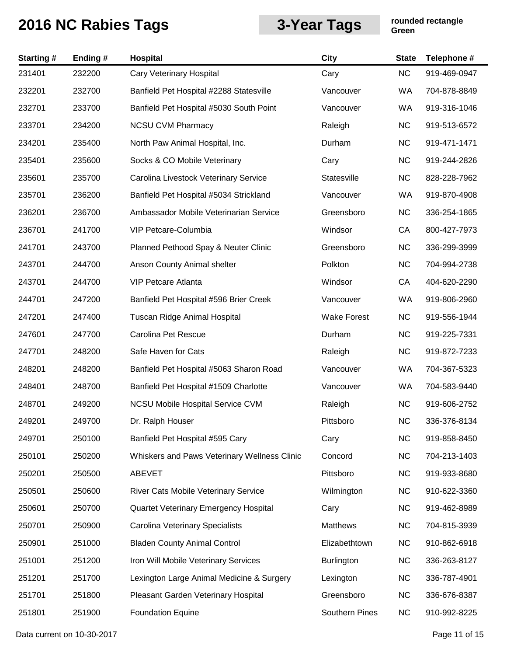| <b>Starting#</b> | Ending# | Hospital                                     | <b>City</b>        | <b>State</b> | Telephone #  |
|------------------|---------|----------------------------------------------|--------------------|--------------|--------------|
| 231401           | 232200  | Cary Veterinary Hospital                     | Cary               | <b>NC</b>    | 919-469-0947 |
| 232201           | 232700  | Banfield Pet Hospital #2288 Statesville      | Vancouver          | WA           | 704-878-8849 |
| 232701           | 233700  | Banfield Pet Hospital #5030 South Point      | Vancouver          | WA           | 919-316-1046 |
| 233701           | 234200  | <b>NCSU CVM Pharmacy</b>                     | Raleigh            | <b>NC</b>    | 919-513-6572 |
| 234201           | 235400  | North Paw Animal Hospital, Inc.              | Durham             | <b>NC</b>    | 919-471-1471 |
| 235401           | 235600  | Socks & CO Mobile Veterinary                 | Cary               | <b>NC</b>    | 919-244-2826 |
| 235601           | 235700  | Carolina Livestock Veterinary Service        | Statesville        | <b>NC</b>    | 828-228-7962 |
| 235701           | 236200  | Banfield Pet Hospital #5034 Strickland       | Vancouver          | WA           | 919-870-4908 |
| 236201           | 236700  | Ambassador Mobile Veterinarian Service       | Greensboro         | <b>NC</b>    | 336-254-1865 |
| 236701           | 241700  | VIP Petcare-Columbia                         | Windsor            | CA           | 800-427-7973 |
| 241701           | 243700  | Planned Pethood Spay & Neuter Clinic         | Greensboro         | <b>NC</b>    | 336-299-3999 |
| 243701           | 244700  | Anson County Animal shelter                  | Polkton            | <b>NC</b>    | 704-994-2738 |
| 243701           | 244700  | <b>VIP Petcare Atlanta</b>                   | Windsor            | CA           | 404-620-2290 |
| 244701           | 247200  | Banfield Pet Hospital #596 Brier Creek       | Vancouver          | WA           | 919-806-2960 |
| 247201           | 247400  | Tuscan Ridge Animal Hospital                 | <b>Wake Forest</b> | <b>NC</b>    | 919-556-1944 |
| 247601           | 247700  | Carolina Pet Rescue                          | Durham             | <b>NC</b>    | 919-225-7331 |
| 247701           | 248200  | Safe Haven for Cats                          | Raleigh            | <b>NC</b>    | 919-872-7233 |
| 248201           | 248200  | Banfield Pet Hospital #5063 Sharon Road      | Vancouver          | WA           | 704-367-5323 |
| 248401           | 248700  | Banfield Pet Hospital #1509 Charlotte        | Vancouver          | WA           | 704-583-9440 |
| 248701           | 249200  | <b>NCSU Mobile Hospital Service CVM</b>      | Raleigh            | <b>NC</b>    | 919-606-2752 |
| 249201           | 249700  | Dr. Ralph Houser                             | Pittsboro          | <b>NC</b>    | 336-376-8134 |
| 249701           | 250100  | Banfield Pet Hospital #595 Cary              | Cary               | <b>NC</b>    | 919-858-8450 |
| 250101           | 250200  | Whiskers and Paws Veterinary Wellness Clinic | Concord            | <b>NC</b>    | 704-213-1403 |
| 250201           | 250500  | ABEVET                                       | Pittsboro          | <b>NC</b>    | 919-933-8680 |
| 250501           | 250600  | River Cats Mobile Veterinary Service         | Wilmington         | <b>NC</b>    | 910-622-3360 |
| 250601           | 250700  | <b>Quartet Veterinary Emergency Hospital</b> | Cary               | <b>NC</b>    | 919-462-8989 |
| 250701           | 250900  | Carolina Veterinary Specialists              | Matthews           | <b>NC</b>    | 704-815-3939 |
| 250901           | 251000  | <b>Bladen County Animal Control</b>          | Elizabethtown      | <b>NC</b>    | 910-862-6918 |
| 251001           | 251200  | Iron Will Mobile Veterinary Services         | <b>Burlington</b>  | <b>NC</b>    | 336-263-8127 |
| 251201           | 251700  | Lexington Large Animal Medicine & Surgery    | Lexington          | <b>NC</b>    | 336-787-4901 |
| 251701           | 251800  | Pleasant Garden Veterinary Hospital          | Greensboro         | <b>NC</b>    | 336-676-8387 |
| 251801           | 251900  | <b>Foundation Equine</b>                     | Southern Pines     | <b>NC</b>    | 910-992-8225 |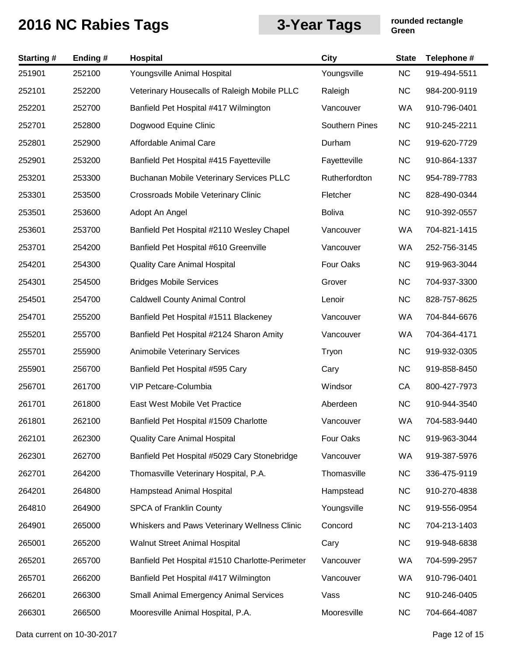| <b>Starting#</b> | Ending# | Hospital                                        | City                  | <b>State</b> | Telephone #  |
|------------------|---------|-------------------------------------------------|-----------------------|--------------|--------------|
| 251901           | 252100  | Youngsville Animal Hospital                     | Youngsville           | <b>NC</b>    | 919-494-5511 |
| 252101           | 252200  | Veterinary Housecalls of Raleigh Mobile PLLC    | Raleigh               | <b>NC</b>    | 984-200-9119 |
| 252201           | 252700  | Banfield Pet Hospital #417 Wilmington           | Vancouver             | <b>WA</b>    | 910-796-0401 |
| 252701           | 252800  | Dogwood Equine Clinic                           | <b>Southern Pines</b> | <b>NC</b>    | 910-245-2211 |
| 252801           | 252900  | Affordable Animal Care                          | Durham                | <b>NC</b>    | 919-620-7729 |
| 252901           | 253200  | Banfield Pet Hospital #415 Fayetteville         | Fayetteville          | <b>NC</b>    | 910-864-1337 |
| 253201           | 253300  | <b>Buchanan Mobile Veterinary Services PLLC</b> | Rutherfordton         | <b>NC</b>    | 954-789-7783 |
| 253301           | 253500  | Crossroads Mobile Veterinary Clinic             | Fletcher              | <b>NC</b>    | 828-490-0344 |
| 253501           | 253600  | Adopt An Angel                                  | <b>Boliva</b>         | <b>NC</b>    | 910-392-0557 |
| 253601           | 253700  | Banfield Pet Hospital #2110 Wesley Chapel       | Vancouver             | <b>WA</b>    | 704-821-1415 |
| 253701           | 254200  | Banfield Pet Hospital #610 Greenville           | Vancouver             | WA           | 252-756-3145 |
| 254201           | 254300  | <b>Quality Care Animal Hospital</b>             | Four Oaks             | <b>NC</b>    | 919-963-3044 |
| 254301           | 254500  | <b>Bridges Mobile Services</b>                  | Grover                | <b>NC</b>    | 704-937-3300 |
| 254501           | 254700  | <b>Caldwell County Animal Control</b>           | Lenoir                | <b>NC</b>    | 828-757-8625 |
| 254701           | 255200  | Banfield Pet Hospital #1511 Blackeney           | Vancouver             | WA           | 704-844-6676 |
| 255201           | 255700  | Banfield Pet Hospital #2124 Sharon Amity        | Vancouver             | <b>WA</b>    | 704-364-4171 |
| 255701           | 255900  | Animobile Veterinary Services                   | Tryon                 | <b>NC</b>    | 919-932-0305 |
| 255901           | 256700  | Banfield Pet Hospital #595 Cary                 | Cary                  | <b>NC</b>    | 919-858-8450 |
| 256701           | 261700  | VIP Petcare-Columbia                            | Windsor               | CA           | 800-427-7973 |
| 261701           | 261800  | East West Mobile Vet Practice                   | Aberdeen              | <b>NC</b>    | 910-944-3540 |
| 261801           | 262100  | Banfield Pet Hospital #1509 Charlotte           | Vancouver             | <b>WA</b>    | 704-583-9440 |
| 262101           | 262300  | <b>Quality Care Animal Hospital</b>             | Four Oaks             | <b>NC</b>    | 919-963-3044 |
| 262301           | 262700  | Banfield Pet Hospital #5029 Cary Stonebridge    | Vancouver             | WA           | 919-387-5976 |
| 262701           | 264200  | Thomasville Veterinary Hospital, P.A.           | Thomasville           | <b>NC</b>    | 336-475-9119 |
| 264201           | 264800  | <b>Hampstead Animal Hospital</b>                | Hampstead             | <b>NC</b>    | 910-270-4838 |
| 264810           | 264900  | <b>SPCA of Franklin County</b>                  | Youngsville           | <b>NC</b>    | 919-556-0954 |
| 264901           | 265000  | Whiskers and Paws Veterinary Wellness Clinic    | Concord               | <b>NC</b>    | 704-213-1403 |
| 265001           | 265200  | Walnut Street Animal Hospital                   | Cary                  | <b>NC</b>    | 919-948-6838 |
| 265201           | 265700  | Banfield Pet Hospital #1510 Charlotte-Perimeter | Vancouver             | WA           | 704-599-2957 |
| 265701           | 266200  | Banfield Pet Hospital #417 Wilmington           | Vancouver             | WA           | 910-796-0401 |
| 266201           | 266300  | <b>Small Animal Emergency Animal Services</b>   | Vass                  | <b>NC</b>    | 910-246-0405 |
| 266301           | 266500  | Mooresville Animal Hospital, P.A.               | Mooresville           | <b>NC</b>    | 704-664-4087 |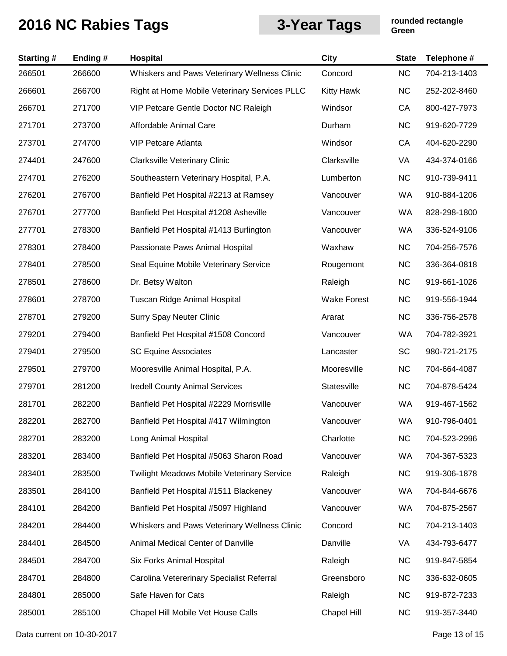| <b>Starting#</b> | Ending # | Hospital                                          | City               | <b>State</b> | Telephone #  |
|------------------|----------|---------------------------------------------------|--------------------|--------------|--------------|
| 266501           | 266600   | Whiskers and Paws Veterinary Wellness Clinic      | Concord            | <b>NC</b>    | 704-213-1403 |
| 266601           | 266700   | Right at Home Mobile Veterinary Services PLLC     | <b>Kitty Hawk</b>  | NC           | 252-202-8460 |
| 266701           | 271700   | VIP Petcare Gentle Doctor NC Raleigh              | Windsor            | CA           | 800-427-7973 |
| 271701           | 273700   | Affordable Animal Care                            | Durham             | <b>NC</b>    | 919-620-7729 |
| 273701           | 274700   | <b>VIP Petcare Atlanta</b>                        | Windsor            | CA           | 404-620-2290 |
| 274401           | 247600   | <b>Clarksville Veterinary Clinic</b>              | Clarksville        | VA           | 434-374-0166 |
| 274701           | 276200   | Southeastern Veterinary Hospital, P.A.            | Lumberton          | <b>NC</b>    | 910-739-9411 |
| 276201           | 276700   | Banfield Pet Hospital #2213 at Ramsey             | Vancouver          | WA           | 910-884-1206 |
| 276701           | 277700   | Banfield Pet Hospital #1208 Asheville             | Vancouver          | WA           | 828-298-1800 |
| 277701           | 278300   | Banfield Pet Hospital #1413 Burlington            | Vancouver          | WA           | 336-524-9106 |
| 278301           | 278400   | Passionate Paws Animal Hospital                   | Waxhaw             | <b>NC</b>    | 704-256-7576 |
| 278401           | 278500   | Seal Equine Mobile Veterinary Service             | Rougemont          | <b>NC</b>    | 336-364-0818 |
| 278501           | 278600   | Dr. Betsy Walton                                  | Raleigh            | <b>NC</b>    | 919-661-1026 |
| 278601           | 278700   | Tuscan Ridge Animal Hospital                      | <b>Wake Forest</b> | <b>NC</b>    | 919-556-1944 |
| 278701           | 279200   | <b>Surry Spay Neuter Clinic</b>                   | Ararat             | <b>NC</b>    | 336-756-2578 |
| 279201           | 279400   | Banfield Pet Hospital #1508 Concord               | Vancouver          | WA           | 704-782-3921 |
| 279401           | 279500   | <b>SC Equine Associates</b>                       | Lancaster          | SC           | 980-721-2175 |
| 279501           | 279700   | Mooresville Animal Hospital, P.A.                 | Mooresville        | <b>NC</b>    | 704-664-4087 |
| 279701           | 281200   | <b>Iredell County Animal Services</b>             | Statesville        | <b>NC</b>    | 704-878-5424 |
| 281701           | 282200   | Banfield Pet Hospital #2229 Morrisville           | Vancouver          | WA           | 919-467-1562 |
| 282201           | 282700   | Banfield Pet Hospital #417 Wilmington             | Vancouver          | <b>WA</b>    | 910-796-0401 |
| 282701           | 283200   | Long Animal Hospital                              | Charlotte          | <b>NC</b>    | 704-523-2996 |
| 283201           | 283400   | Banfield Pet Hospital #5063 Sharon Road           | Vancouver          | WA           | 704-367-5323 |
| 283401           | 283500   | <b>Twilight Meadows Mobile Veterinary Service</b> | Raleigh            | <b>NC</b>    | 919-306-1878 |
| 283501           | 284100   | Banfield Pet Hospital #1511 Blackeney             | Vancouver          | WA           | 704-844-6676 |
| 284101           | 284200   | Banfield Pet Hospital #5097 Highland              | Vancouver          | WA           | 704-875-2567 |
| 284201           | 284400   | Whiskers and Paws Veterinary Wellness Clinic      | Concord            | NC           | 704-213-1403 |
| 284401           | 284500   | Animal Medical Center of Danville                 | Danville           | VA           | 434-793-6477 |
| 284501           | 284700   | Six Forks Animal Hospital                         | Raleigh            | NC           | 919-847-5854 |
| 284701           | 284800   | Carolina Vetererinary Specialist Referral         | Greensboro         | <b>NC</b>    | 336-632-0605 |
| 284801           | 285000   | Safe Haven for Cats                               | Raleigh            | <b>NC</b>    | 919-872-7233 |
| 285001           | 285100   | Chapel Hill Mobile Vet House Calls                | Chapel Hill        | <b>NC</b>    | 919-357-3440 |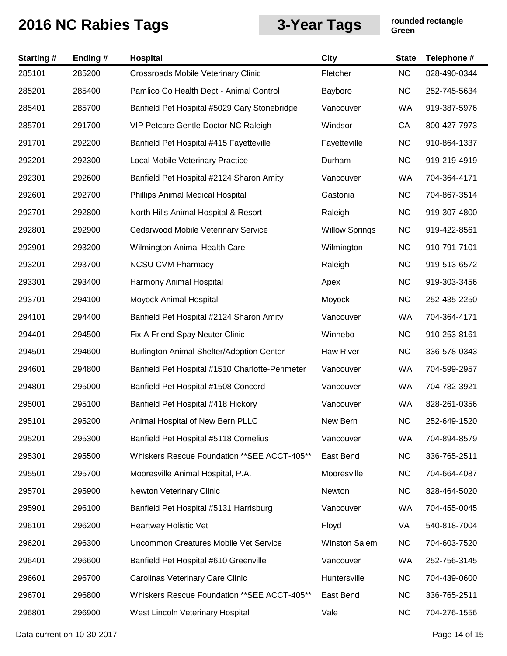| <b>Starting#</b> | Ending# | Hospital                                        | <b>City</b>           | <b>State</b> | Telephone #  |
|------------------|---------|-------------------------------------------------|-----------------------|--------------|--------------|
| 285101           | 285200  | Crossroads Mobile Veterinary Clinic             | Fletcher              | <b>NC</b>    | 828-490-0344 |
| 285201           | 285400  | Pamlico Co Health Dept - Animal Control         | Bayboro               | <b>NC</b>    | 252-745-5634 |
| 285401           | 285700  | Banfield Pet Hospital #5029 Cary Stonebridge    | Vancouver             | <b>WA</b>    | 919-387-5976 |
| 285701           | 291700  | VIP Petcare Gentle Doctor NC Raleigh            | Windsor               | CA           | 800-427-7973 |
| 291701           | 292200  | Banfield Pet Hospital #415 Fayetteville         | Fayetteville          | <b>NC</b>    | 910-864-1337 |
| 292201           | 292300  | Local Mobile Veterinary Practice                | Durham                | <b>NC</b>    | 919-219-4919 |
| 292301           | 292600  | Banfield Pet Hospital #2124 Sharon Amity        | Vancouver             | WA           | 704-364-4171 |
| 292601           | 292700  | Phillips Animal Medical Hospital                | Gastonia              | <b>NC</b>    | 704-867-3514 |
| 292701           | 292800  | North Hills Animal Hospital & Resort            | Raleigh               | <b>NC</b>    | 919-307-4800 |
| 292801           | 292900  | Cedarwood Mobile Veterinary Service             | <b>Willow Springs</b> | <b>NC</b>    | 919-422-8561 |
| 292901           | 293200  | Wilmington Animal Health Care                   | Wilmington            | <b>NC</b>    | 910-791-7101 |
| 293201           | 293700  | <b>NCSU CVM Pharmacy</b>                        | Raleigh               | <b>NC</b>    | 919-513-6572 |
| 293301           | 293400  | Harmony Animal Hospital                         | Apex                  | <b>NC</b>    | 919-303-3456 |
| 293701           | 294100  | Moyock Animal Hospital                          | Moyock                | <b>NC</b>    | 252-435-2250 |
| 294101           | 294400  | Banfield Pet Hospital #2124 Sharon Amity        | Vancouver             | WA           | 704-364-4171 |
| 294401           | 294500  | Fix A Friend Spay Neuter Clinic                 | Winnebo               | <b>NC</b>    | 910-253-8161 |
| 294501           | 294600  | Burlington Animal Shelter/Adoption Center       | <b>Haw River</b>      | <b>NC</b>    | 336-578-0343 |
| 294601           | 294800  | Banfield Pet Hospital #1510 Charlotte-Perimeter | Vancouver             | WA           | 704-599-2957 |
| 294801           | 295000  | Banfield Pet Hospital #1508 Concord             | Vancouver             | WA           | 704-782-3921 |
| 295001           | 295100  | Banfield Pet Hospital #418 Hickory              | Vancouver             | <b>WA</b>    | 828-261-0356 |
| 295101           | 295200  | Animal Hospital of New Bern PLLC                | New Bern              | NC           | 252-649-1520 |
| 295201           | 295300  | Banfield Pet Hospital #5118 Cornelius           | Vancouver             | <b>WA</b>    | 704-894-8579 |
| 295301           | 295500  | Whiskers Rescue Foundation ** SEE ACCT-405**    | East Bend             | <b>NC</b>    | 336-765-2511 |
| 295501           | 295700  | Mooresville Animal Hospital, P.A.               | Mooresville           | <b>NC</b>    | 704-664-4087 |
| 295701           | 295900  | Newton Veterinary Clinic                        | Newton                | <b>NC</b>    | 828-464-5020 |
| 295901           | 296100  | Banfield Pet Hospital #5131 Harrisburg          | Vancouver             | WA           | 704-455-0045 |
| 296101           | 296200  | Heartway Holistic Vet                           | Floyd                 | VA           | 540-818-7004 |
| 296201           | 296300  | Uncommon Creatures Mobile Vet Service           | <b>Winston Salem</b>  | <b>NC</b>    | 704-603-7520 |
| 296401           | 296600  | Banfield Pet Hospital #610 Greenville           | Vancouver             | WA           | 252-756-3145 |
| 296601           | 296700  | Carolinas Veterinary Care Clinic                | Huntersville          | <b>NC</b>    | 704-439-0600 |
| 296701           | 296800  | Whiskers Rescue Foundation ** SEE ACCT-405**    | East Bend             | <b>NC</b>    | 336-765-2511 |
| 296801           | 296900  | West Lincoln Veterinary Hospital                | Vale                  | <b>NC</b>    | 704-276-1556 |